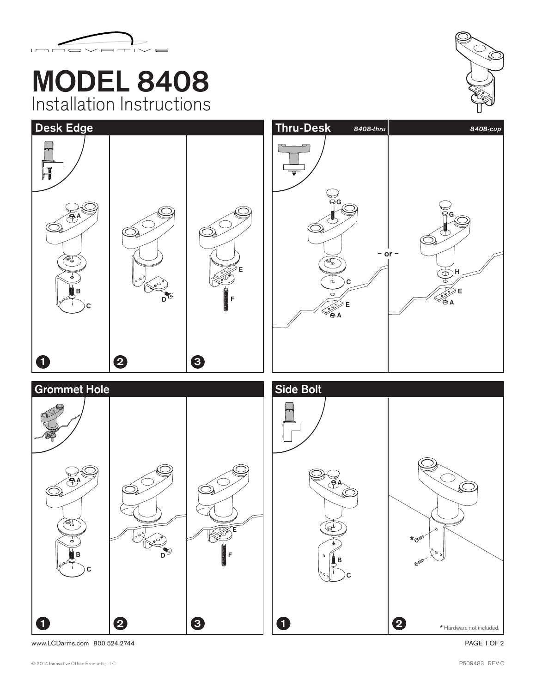

## MODEL 8408 Installation Instructions





www.LCDarms.com 800.524.2744 PAGE 1 OF 2